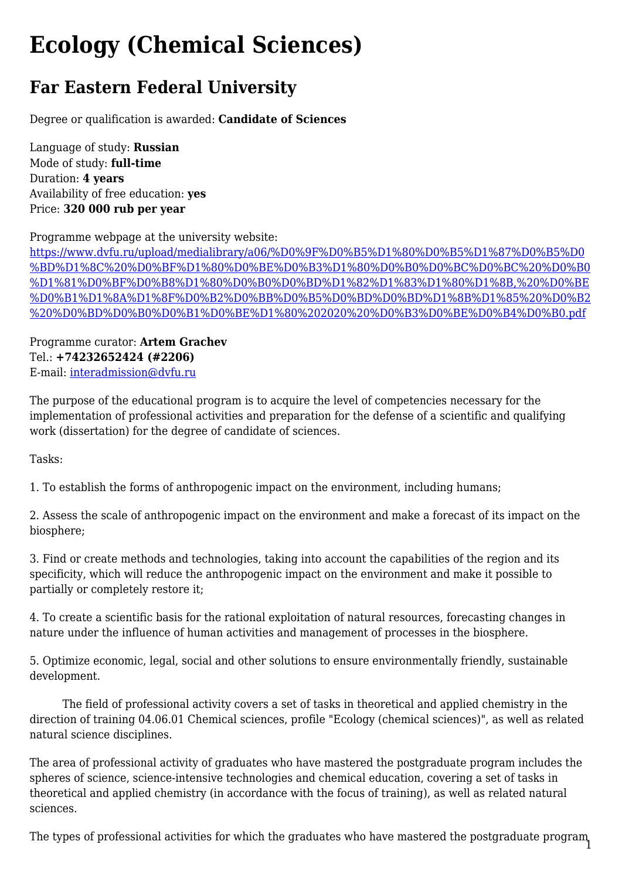## **Ecology (Chemical Sciences)**

## **Far Eastern Federal University**

Degree or qualification is awarded: **Candidate of Sciences**

Language of study: **Russian** Mode of study: **full-time** Duration: **4 years** Availability of free education: **yes** Price: **320 000 rub per year**

Programme webpage at the university website:

[https://www.dvfu.ru/upload/medialibrary/a06/%D0%9F%D0%B5%D1%80%D0%B5%D1%87%D0%B5%D0](https://www.dvfu.ru/upload/medialibrary/a06/%D0%9F%D0%B5%D1%80%D0%B5%D1%87%D0%B5%D0%BD%D1%8C%20%D0%BF%D1%80%D0%BE%D0%B3%D1%80%D0%B0%D0%BC%D0%BC%20%D0%B0%D1%81%D0%BF%D0%B8%D1%80%D0%B0%D0%BD%D1%82%D1%83%D1%80%D1%8B,%20%D0%BE%D0%B1%D1%8A%D1%8F%D0%B2%D0%BB%D0%B5%D0%BD%D0%BD%D1%8B%D1%85%20%D0%B2%20%D0%BD%D0%B0%D0%B1%D0%BE%D1%80%202020%20%D0%B3%D0%BE%D0%B4%D0%B0.pdf) [%BD%D1%8C%20%D0%BF%D1%80%D0%BE%D0%B3%D1%80%D0%B0%D0%BC%D0%BC%20%D0%B0](https://www.dvfu.ru/upload/medialibrary/a06/%D0%9F%D0%B5%D1%80%D0%B5%D1%87%D0%B5%D0%BD%D1%8C%20%D0%BF%D1%80%D0%BE%D0%B3%D1%80%D0%B0%D0%BC%D0%BC%20%D0%B0%D1%81%D0%BF%D0%B8%D1%80%D0%B0%D0%BD%D1%82%D1%83%D1%80%D1%8B,%20%D0%BE%D0%B1%D1%8A%D1%8F%D0%B2%D0%BB%D0%B5%D0%BD%D0%BD%D1%8B%D1%85%20%D0%B2%20%D0%BD%D0%B0%D0%B1%D0%BE%D1%80%202020%20%D0%B3%D0%BE%D0%B4%D0%B0.pdf) [%D1%81%D0%BF%D0%B8%D1%80%D0%B0%D0%BD%D1%82%D1%83%D1%80%D1%8B,%20%D0%BE](https://www.dvfu.ru/upload/medialibrary/a06/%D0%9F%D0%B5%D1%80%D0%B5%D1%87%D0%B5%D0%BD%D1%8C%20%D0%BF%D1%80%D0%BE%D0%B3%D1%80%D0%B0%D0%BC%D0%BC%20%D0%B0%D1%81%D0%BF%D0%B8%D1%80%D0%B0%D0%BD%D1%82%D1%83%D1%80%D1%8B,%20%D0%BE%D0%B1%D1%8A%D1%8F%D0%B2%D0%BB%D0%B5%D0%BD%D0%BD%D1%8B%D1%85%20%D0%B2%20%D0%BD%D0%B0%D0%B1%D0%BE%D1%80%202020%20%D0%B3%D0%BE%D0%B4%D0%B0.pdf) [%D0%B1%D1%8A%D1%8F%D0%B2%D0%BB%D0%B5%D0%BD%D0%BD%D1%8B%D1%85%20%D0%B2](https://www.dvfu.ru/upload/medialibrary/a06/%D0%9F%D0%B5%D1%80%D0%B5%D1%87%D0%B5%D0%BD%D1%8C%20%D0%BF%D1%80%D0%BE%D0%B3%D1%80%D0%B0%D0%BC%D0%BC%20%D0%B0%D1%81%D0%BF%D0%B8%D1%80%D0%B0%D0%BD%D1%82%D1%83%D1%80%D1%8B,%20%D0%BE%D0%B1%D1%8A%D1%8F%D0%B2%D0%BB%D0%B5%D0%BD%D0%BD%D1%8B%D1%85%20%D0%B2%20%D0%BD%D0%B0%D0%B1%D0%BE%D1%80%202020%20%D0%B3%D0%BE%D0%B4%D0%B0.pdf) [%20%D0%BD%D0%B0%D0%B1%D0%BE%D1%80%202020%20%D0%B3%D0%BE%D0%B4%D0%B0.pdf](https://www.dvfu.ru/upload/medialibrary/a06/%D0%9F%D0%B5%D1%80%D0%B5%D1%87%D0%B5%D0%BD%D1%8C%20%D0%BF%D1%80%D0%BE%D0%B3%D1%80%D0%B0%D0%BC%D0%BC%20%D0%B0%D1%81%D0%BF%D0%B8%D1%80%D0%B0%D0%BD%D1%82%D1%83%D1%80%D1%8B,%20%D0%BE%D0%B1%D1%8A%D1%8F%D0%B2%D0%BB%D0%B5%D0%BD%D0%BD%D1%8B%D1%85%20%D0%B2%20%D0%BD%D0%B0%D0%B1%D0%BE%D1%80%202020%20%D0%B3%D0%BE%D0%B4%D0%B0.pdf)

Programme curator: **Artem Grachev** Tel.: **+74232652424 (#2206)** E-mail: [interadmission@dvfu.ru](mailto:interadmission@dvfu.ru)

The purpose of the educational program is to acquire the level of competencies necessary for the implementation of professional activities and preparation for the defense of a scientific and qualifying work (dissertation) for the degree of candidate of sciences.

Tasks:

1. To establish the forms of anthropogenic impact on the environment, including humans;

2. Assess the scale of anthropogenic impact on the environment and make a forecast of its impact on the biosphere;

3. Find or create methods and technologies, taking into account the capabilities of the region and its specificity, which will reduce the anthropogenic impact on the environment and make it possible to partially or completely restore it;

4. To create a scientific basis for the rational exploitation of natural resources, forecasting changes in nature under the influence of human activities and management of processes in the biosphere.

5. Optimize economic, legal, social and other solutions to ensure environmentally friendly, sustainable development.

 The field of professional activity covers a set of tasks in theoretical and applied chemistry in the direction of training 04.06.01 Chemical sciences, profile "Ecology (chemical sciences)", as well as related natural science disciplines.

The area of professional activity of graduates who have mastered the postgraduate program includes the spheres of science, science-intensive technologies and chemical education, covering a set of tasks in theoretical and applied chemistry (in accordance with the focus of training), as well as related natural sciences.

1 The types of professional activities for which the graduates who have mastered the postgraduate program